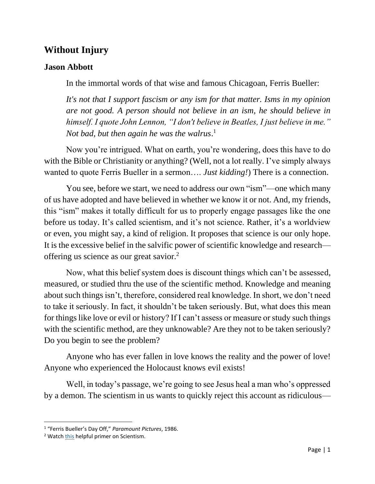# **Without Injury**

### **Jason Abbott**

In the immortal words of that wise and famous Chicagoan, Ferris Bueller:

*It's not that I support fascism or any ism for that matter. Isms in my opinion are not good. A person should not believe in an ism, he should believe in himself. I quote John Lennon, "I don't believe in Beatles, I just believe in me." Not bad, but then again he was the walrus*. 1

Now you're intrigued. What on earth, you're wondering, does this have to do with the Bible or Christianity or anything? (Well, not a lot really. I've simply always wanted to quote Ferris Bueller in a sermon…. *Just kidding!*) There is a connection.

You see, before we start, we need to address our own "ism"—one which many of us have adopted and have believed in whether we know it or not. And, my friends, this "ism" makes it totally difficult for us to properly engage passages like the one before us today. It's called scientism, and it's not science. Rather, it's a worldview or even, you might say, a kind of religion. It proposes that science is our only hope. It is the excessive belief in the salvific power of scientific knowledge and research offering us science as our great savior.<sup>2</sup>

Now, what this belief system does is discount things which can't be assessed, measured, or studied thru the use of the scientific method. Knowledge and meaning about such things isn't, therefore, considered real knowledge. In short, we don't need to take it seriously. In fact, it shouldn't be taken seriously. But, what does this mean for things like love or evil or history? If I can't assess or measure or study such things with the scientific method, are they unknowable? Are they not to be taken seriously? Do you begin to see the problem?

Anyone who has ever fallen in love knows the reality and the power of love! Anyone who experienced the Holocaust knows evil exists!

Well, in today's passage, we're going to see Jesus heal a man who's oppressed by a demon. The scientism in us wants to quickly reject this account as ridiculous—

<sup>1</sup> "Ferris Bueller's Day Off," *Paramount Pictures*, 1986.

<sup>2</sup> Watch [this](https://www.youtube.com/watch?v=VXUCnu6mVto) helpful primer on Scientism.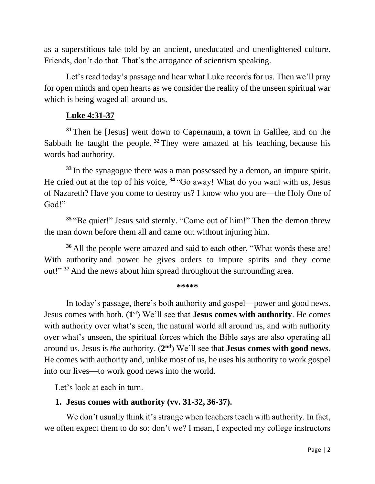as a superstitious tale told by an ancient, uneducated and unenlightened culture. Friends, don't do that. That's the arrogance of scientism speaking.

Let's read today's passage and hear what Luke records for us. Then we'll pray for open minds and open hearts as we consider the reality of the unseen spiritual war which is being waged all around us.

### **Luke 4:31-37**

**<sup>31</sup>** Then he [Jesus] went down to Capernaum, a town in Galilee, and on the Sabbath he taught the people. **<sup>32</sup>** They were amazed at his teaching, because his words had authority.

**<sup>33</sup>** In the synagogue there was a man possessed by a demon, an impure spirit. He cried out at the top of his voice, **<sup>34</sup>** "Go away! What do you want with us, Jesus of Nazareth? Have you come to destroy us? I know who you are—the Holy One of God!"

**<sup>35</sup>** "Be quiet!" Jesus said sternly. "Come out of him!" Then the demon threw the man down before them all and came out without injuring him.

**<sup>36</sup>** All the people were amazed and said to each other, "What words these are! With authority and power he gives orders to impure spirits and they come out!" **<sup>37</sup>** And the news about him spread throughout the surrounding area.

#### **\*\*\*\*\***

In today's passage, there's both authority and gospel—power and good news. Jesus comes with both. (**1 st**) We'll see that **Jesus comes with authority**. He comes with authority over what's seen, the natural world all around us, and with authority over what's unseen, the spiritual forces which the Bible says are also operating all around us. Jesus is *the* authority. (2<sup>nd</sup>) We'll see that **Jesus comes with good news**. He comes with authority and, unlike most of us, he uses his authority to work gospel into our lives—to work good news into the world.

Let's look at each in turn.

### **1. Jesus comes with authority (vv. 31-32, 36-37).**

We don't usually think it's strange when teachers teach with authority. In fact, we often expect them to do so; don't we? I mean, I expected my college instructors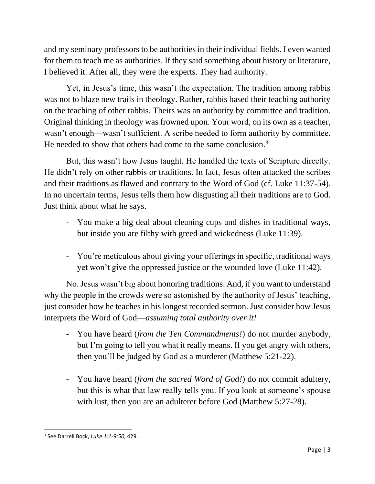and my seminary professors to be authorities in their individual fields. I even wanted for them to teach me as authorities. If they said something about history or literature, I believed it. After all, they were the experts. They had authority.

Yet, in Jesus's time, this wasn't the expectation. The tradition among rabbis was not to blaze new trails in theology. Rather, rabbis based their teaching authority on the teaching of other rabbis. Theirs was an authority by committee and tradition. Original thinking in theology was frowned upon. Your word, on its own as a teacher, wasn't enough—wasn't sufficient. A scribe needed to form authority by committee. He needed to show that others had come to the same conclusion.<sup>3</sup>

But, this wasn't how Jesus taught. He handled the texts of Scripture directly. He didn't rely on other rabbis or traditions. In fact, Jesus often attacked the scribes and their traditions as flawed and contrary to the Word of God (cf. Luke 11:37-54). In no uncertain terms, Jesus tells them how disgusting all their traditions are to God. Just think about what he says.

- You make a big deal about cleaning cups and dishes in traditional ways, but inside you are filthy with greed and wickedness (Luke 11:39).
- You're meticulous about giving your offerings in specific, traditional ways yet won't give the oppressed justice or the wounded love (Luke 11:42).

No. Jesus wasn't big about honoring traditions. And, if you want to understand why the people in the crowds were so astonished by the authority of Jesus' teaching, just consider how he teaches in his longest recorded sermon. Just consider how Jesus interprets the Word of God—*assuming total authority over it!*

- You have heard (*from the Ten Commandments!*) do not murder anybody, but I'm going to tell you what it really means. If you get angry with others, then you'll be judged by God as a murderer (Matthew 5:21-22).
- You have heard (*from the sacred Word of God!*) do not commit adultery, but this is what that law really tells you. If you look at someone's spouse with lust, then you are an adulterer before God (Matthew 5:27-28).

<sup>3</sup> See Darrell Bock, *Luke 1:1-9:50*, 429.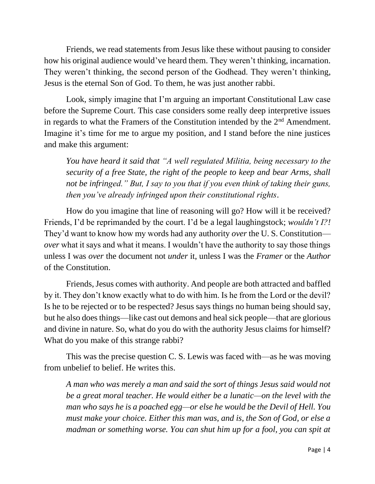Friends, we read statements from Jesus like these without pausing to consider how his original audience would've heard them. They weren't thinking, incarnation. They weren't thinking, the second person of the Godhead. They weren't thinking, Jesus is the eternal Son of God. To them, he was just another rabbi.

Look, simply imagine that I'm arguing an important Constitutional Law case before the Supreme Court. This case considers some really deep interpretive issues in regards to what the Framers of the Constitution intended by the  $2<sup>nd</sup>$  Amendment. Imagine it's time for me to argue my position, and I stand before the nine justices and make this argument:

*You have heard it said that "A well regulated Militia, being necessary to the security of a free State, the right of the people to keep and bear Arms, shall not be infringed." But, I say to you that if you even think of taking their guns, then you've already infringed upon their constitutional rights*.

How do you imagine that line of reasoning will go? How will it be received? Friends, I'd be reprimanded by the court. I'd be a legal laughingstock; *wouldn't I?!* They'd want to know how my words had any authority *over* the U. S. Constitution *over* what it says and what it means. I wouldn't have the authority to say those things unless I was *over* the document not *under* it, unless I was the *Framer* or the *Author* of the Constitution.

Friends, Jesus comes with authority. And people are both attracted and baffled by it. They don't know exactly what to do with him. Is he from the Lord or the devil? Is he to be rejected or to be respected? Jesus says things no human being should say, but he also does things—like cast out demons and heal sick people—that are glorious and divine in nature. So, what do you do with the authority Jesus claims for himself? What do you make of this strange rabbi?

This was the precise question C. S. Lewis was faced with—as he was moving from unbelief to belief. He writes this.

*A man who was merely a man and said the sort of things Jesus said would not be a great moral teacher. He would either be a lunatic—on the level with the man who says he is a poached egg—or else he would be the Devil of Hell. You must make your choice. Either this man was, and is, the Son of God, or else a madman or something worse. You can shut him up for a fool, you can spit at*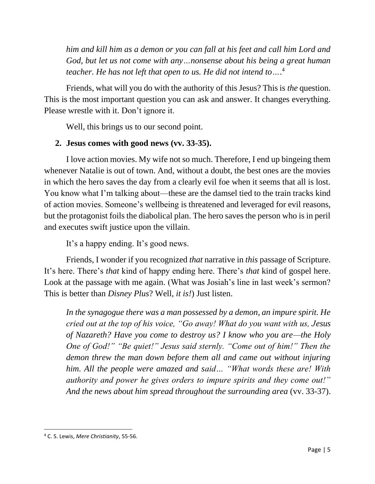*him and kill him as a demon or you can fall at his feet and call him Lord and God, but let us not come with any…nonsense about his being a great human teacher. He has not left that open to us. He did not intend to…*. 4

Friends, what will you do with the authority of this Jesus? This is *the* question. This is the most important question you can ask and answer. It changes everything. Please wrestle with it. Don't ignore it.

Well, this brings us to our second point.

## **2. Jesus comes with good news (vv. 33-35).**

I love action movies. My wife not so much. Therefore, I end up bingeing them whenever Natalie is out of town. And, without a doubt, the best ones are the movies in which the hero saves the day from a clearly evil foe when it seems that all is lost. You know what I'm talking about—these are the damsel tied to the train tracks kind of action movies. Someone's wellbeing is threatened and leveraged for evil reasons, but the protagonist foils the diabolical plan. The hero saves the person who is in peril and executes swift justice upon the villain.

It's a happy ending. It's good news.

Friends, I wonder if you recognized *that* narrative in *this* passage of Scripture. It's here. There's *that* kind of happy ending here. There's *that* kind of gospel here. Look at the passage with me again. (What was Josiah's line in last week's sermon? This is better than *Disney Plus*? Well, *it is!*) Just listen.

*In the synagogue there was a man possessed by a demon, an impure spirit. He cried out at the top of his voice, "Go away! What do you want with us, Jesus of Nazareth? Have you come to destroy us? I know who you are—the Holy One of God!" "Be quiet!" Jesus said sternly. "Come out of him!" Then the demon threw the man down before them all and came out without injuring him. All the people were amazed and said… "What words these are! With authority and power he gives orders to impure spirits and they come out!" And the news about him spread throughout the surrounding area* (vv. 33-37).

<sup>4</sup> C. S. Lewis, *Mere Christianity*, 55-56.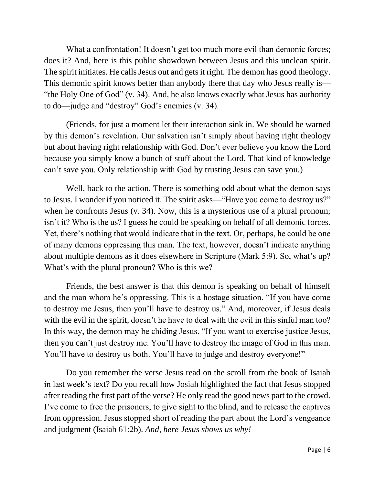What a confrontation! It doesn't get too much more evil than demonic forces; does it? And, here is this public showdown between Jesus and this unclean spirit. The spirit initiates. He calls Jesus out and gets it right. The demon has good theology. This demonic spirit knows better than anybody there that day who Jesus really is— "the Holy One of God" (v. 34). And, he also knows exactly what Jesus has authority to do—judge and "destroy" God's enemies (v. 34).

(Friends, for just a moment let their interaction sink in. We should be warned by this demon's revelation. Our salvation isn't simply about having right theology but about having right relationship with God. Don't ever believe you know the Lord because you simply know a bunch of stuff about the Lord. That kind of knowledge can't save you. Only relationship with God by trusting Jesus can save you.)

Well, back to the action. There is something odd about what the demon says to Jesus. I wonder if you noticed it. The spirit asks—"Have you come to destroy us?" when he confronts Jesus (v. 34). Now, this is a mysterious use of a plural pronoun; isn't it? Who is the us? I guess he could be speaking on behalf of all demonic forces. Yet, there's nothing that would indicate that in the text. Or, perhaps, he could be one of many demons oppressing this man. The text, however, doesn't indicate anything about multiple demons as it does elsewhere in Scripture (Mark 5:9). So, what's up? What's with the plural pronoun? Who is this we?

Friends, the best answer is that this demon is speaking on behalf of himself and the man whom he's oppressing. This is a hostage situation. "If you have come to destroy me Jesus, then you'll have to destroy us." And, moreover, if Jesus deals with the evil in the spirit, doesn't he have to deal with the evil in this sinful man too? In this way, the demon may be chiding Jesus. "If you want to exercise justice Jesus, then you can't just destroy me. You'll have to destroy the image of God in this man. You'll have to destroy us both. You'll have to judge and destroy everyone!"

Do you remember the verse Jesus read on the scroll from the book of Isaiah in last week's text? Do you recall how Josiah highlighted the fact that Jesus stopped after reading the first part of the verse? He only read the good news part to the crowd. I've come to free the prisoners, to give sight to the blind, and to release the captives from oppression. Jesus stopped short of reading the part about the Lord's vengeance and judgment (Isaiah 61:2b). *And, here Jesus shows us why!*